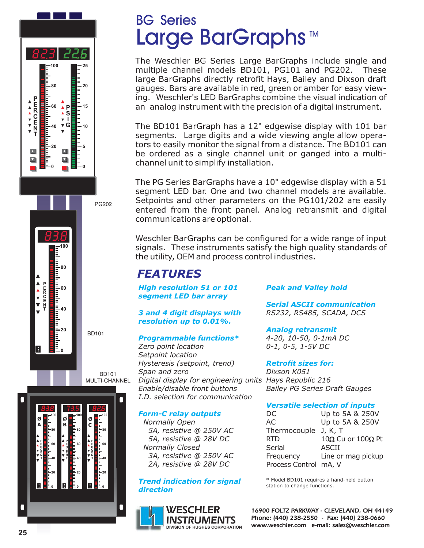

**60**

**40**

=<br>=<br>=

**0**

 $\blacksquare$ 

# BG Series Large BarGraphs<sup>™</sup>

The Weschler BG Series Large BarGraphs include single and multiple channel models BD101, PG101 and PG202. These large BarGraphs directly retrofit Hays, Bailey and Dixson draft gauges. Bars are available in red, green or amber for easy viewing. Weschler's LED BarGraphs combine the visual indication of an analog instrument with the precision of a digital instrument.

The BD101 BarGraph has a 12" edgewise display with 101 bar segments. Large digits and a wide viewing angle allow operators to easily monitor the signal from a distance. The BD101 can be ordered as a single channel unit or ganged into a multichannel unit to simplify installation.

The PG Series BarGraphs have a 10" edgewise display with a 51 segment LED bar. One and two channel models are available. Setpoints and other parameters on the PG101/202 are easily entered from the front panel. Analog retransmit and digital communications are optional.

signals. These instruments satisfy the high quality standards of the utility, OEM and process control industries. Weschler BarGraphs can be configured for a wide range of input

## *FEATURES*

*High resolution 51 or 101 segment LED bar array*

*3 and 4 digit displays with resolution up to 0.01%.*

## *Programmable functions\**

*Zero point location Setpoint location Hysteresis (setpoint, trend) Span and zero Digital display for engineering units Hays Republic 216 Enable/disable front buttons I.D. selection for communication*

### *Form-C relay outputs*

*Normally Open 5A, resistive @ 250V AC 5A, resistive @ 28V DC Normally Closed 3A, resistive @ 250V AC 2A, resistive @ 28V DC*

### *Trend indication for signal direction*



## *Peak and Valley hold*

*Serial ASCII communication RS232, RS485, SCADA, DCS*

*Analog retransmit 4-20, 10-50, 0-1mA DC 0-1, 0-5, 1-5V DC*

*Retrofit sizes for:*

*Dixson K051 Bailey PG Series Draft Gauges*

### *Versatile selection of inputs*

| DC.                   | Up to 5A & 250V                 |  |  |  |  |
|-----------------------|---------------------------------|--|--|--|--|
| AC                    | Up to 5A & 250V                 |  |  |  |  |
| Thermocouple J, K, T  |                                 |  |  |  |  |
| <b>RTD</b>            | $10\Omega$ Cu or $100\Omega$ Pt |  |  |  |  |
| Serial                | <b>ASCII</b>                    |  |  |  |  |
| Frequency             | Line or mag pickup              |  |  |  |  |
| Process Control mA, V |                                 |  |  |  |  |

\* Model BD101 requires a hand-held button station to change functions.

**16900 FOLTZ PARKWAY - CLEVELAND, OH 44149 Phone: (440) 238-2550 - Fax: (440) 238-0660 www.weschler.com e-mail: sales@weschler.com**

BD101 MULTI-CHANNEL

BD101

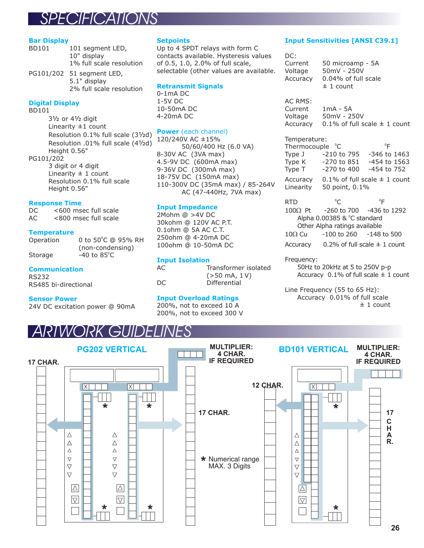## *SPECIFICATIONS*

#### **Bar Display**

BD101 101 segment LED, 10" display 1% full scale resolution PG101/202 51 segment LED, 5.1" display

2% full scale resolution

#### **Digital Display**

BD101

31/<sub>2</sub> or 41/<sub>2</sub> digit Linearity  $\pm 1$  count Resolution 0.1% full scale (31/2d) Resolution .01% full scale (41/2d) Height 0.56" PG101/202 3 digit or 4 digit Linearity  $\pm$  1 count

Resolution 0.1% full scale Height 0.56"

#### **Response Time**

DC <600 msec full scale AC <800 msec full scale

#### **Temperature**

| Operation | 0 to 50°C @ 95% RH      |  |  |  |  |
|-----------|-------------------------|--|--|--|--|
|           | (non-condensing)        |  |  |  |  |
| Storage   | $-40$ to $85^{\circ}$ C |  |  |  |  |

#### **Communication**

RS232 RS485 bi-directional

#### **Sensor Power**

24V DC excitation power @ 90mA

#### **Setpoints**

Up to 4 SPDT relays with form C contacts available. Hysteresis values of 0.5, 1.0, 2.0% of full scale, selectable (other values are available.

#### **Retransmit Signals**

0-1mA DC 1-5V DC 10-50mA DC 4-20mA DC

#### **Power** (each channel)

120/240V AC ±15% 50/60/400 Hz (6.0 VA) 8-30V AC (3VA max) 4.5-9V DC (600mA max) 9-36V DC (300mA max) 18-75V DC (150mA max) 110-300V DC (35mA max) / 85-264V AC (47-440Hz, 7VA max)

#### **Input Impedance**

2Mohm @ >4V DC 30kohm @ 120V AC P.T. 0.1ohm @ 5A AC C.T. 250ohm @ 4-20mA DC 100ohm @ 10-50mA DC

#### **Input Isolation**

| AС  | Transformer isolated            |
|-----|---------------------------------|
|     | $(>50 \text{ mA}, 1 \text{ V})$ |
| DC. | Differential                    |
|     |                                 |

#### **Input Overload Ratings**

200%, not to exceed 10 A 200%, not to exceed 300 V

#### **Input Sensitivities [ANSI C39.1]**

DC: Current 50 microamp - 5A Voltage 50mV - 250V Accuracy 0.04% of full scale  $± 1$  count AC RMS: Current 1mA - 5A Voltage 50mV - 250V Accuracy 0.1% of full scale  $\pm$  1 count Temperature: Thermocouple  $^{\circ}$ C  $^{\circ}$ F Type J -210 to 795 -346 to 1463<br>Type K -270 to 851 -454 to 1563 Type K -270 to 851 -454 to 1563 Type T -270 to 400 -454 to 752 Accuracy 0.1% of full scale  $\pm$  1 count Linearity 50 point, 0.1% RTD  $^{\circ}$ C  $^{\circ}$ F  $^{\circ}C$ 

-260 to 700 -436 to 1292 Alpha 0.00385 &  $^{\circ}$ C standard Other Alpha ratings available  $-100$  to 260  $-148$  to 500 Accuracy  $0.2\%$  of full scale  $\pm$  1 count  $100\Omega$  Pt  $10\Omega$  Cu

#### Frequency:

50Hz to 20kHz at 5 to 250V p-p Accuracy 0.1% of full scale ± 1 count

Line Frequency (55 to 65 Hz): Accuracy 0.01% of full scale ± 1 count

## **ARTWORK GUIDELIN**

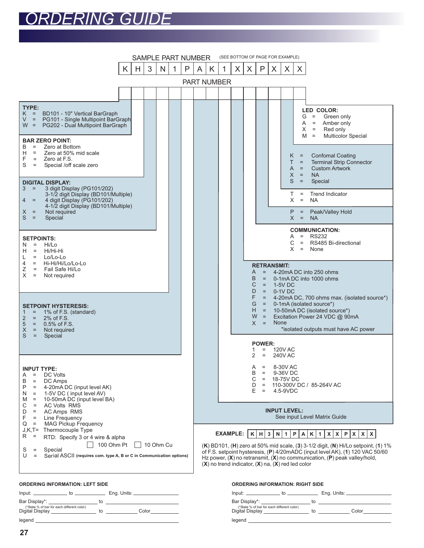# *ORDERING GUIDE*



| <u>UNULININU INI UNIMATIVII. LLI TUIDL</u>                                      |  |    |  |             |  |  |
|---------------------------------------------------------------------------------|--|----|--|-------------|--|--|
|                                                                                 |  |    |  | Eng. Units: |  |  |
| Bar Display*: _______________________                                           |  | to |  |             |  |  |
| (*State % of bar for each different color)<br>Digital Display _________________ |  | to |  | Color       |  |  |
| legend                                                                          |  |    |  |             |  |  |